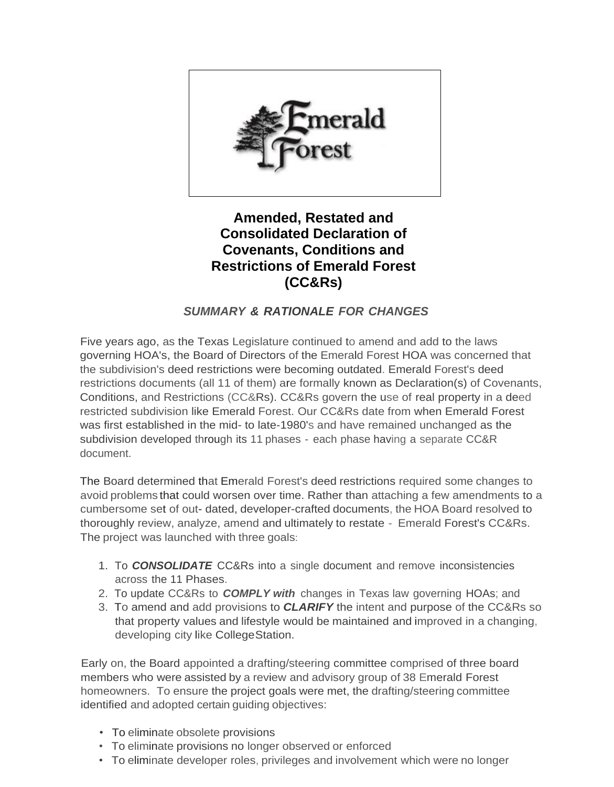

**Amended, Restated and Consolidated Declaration of Covenants, Conditions and Restrictions of Emerald Forest (CC&Rs)**

## *SUMMARY & RATIONALE FOR CHANGES*

Five years ago, as the Texas Legislature continued to amend and add to the laws governing HOA's, the Board of Directors of the Emerald Forest HOA was concerned that the subdivision's deed restrictions were becoming outdated. Emerald Forest's deed restrictions documents (all 11 of them) are formally known as Declaration(s) of Covenants, Conditions, and Restrictions (CC&Rs). CC&Rs govern the use of real property in a deed restricted subdivision like Emerald Forest. Our CC&Rs date from when Emerald Forest was first established in the mid- to late-1980's and have remained unchanged as the subdivision developed through its 11 phases - each phase having a separate CC&R document.

The Board determined that Emerald Forest's deed restrictions required some changes to avoid problems that could worsen over time. Rather than attaching a few amendments to a cumbersome set of out- dated, developer-crafted documents, the HOA Board resolved to thoroughly review, analyze, amend and ultimately to restate - Emerald Forest's CC&Rs. The project was launched with three goals:

- 1. To *CONSOLIDATE* CC&Rs into a single document and remove inconsistencies across the 11 Phases.
- 2. To update CC&Rs to *COMPLY with* changes in Texas law governing HOAs; and
- 3. To amend and add provisions to *CLARIFY* the intent and purpose of the CC&Rs so that property values and lifestyle would be maintained and improved in a changing, developing city like CollegeStation.

Early on, the Board appointed a drafting/steering committee comprised of three board members who were assisted by a review and advisory group of 38 Emerald Forest homeowners. To ensure the project goals were met, the drafting/steering committee identified and adopted certain guiding objectives:

- To eliminate obsolete provisions
- To eliminate provisions no longer observed or enforced
- To eliminate developer roles, privileges and involvement which were no longer